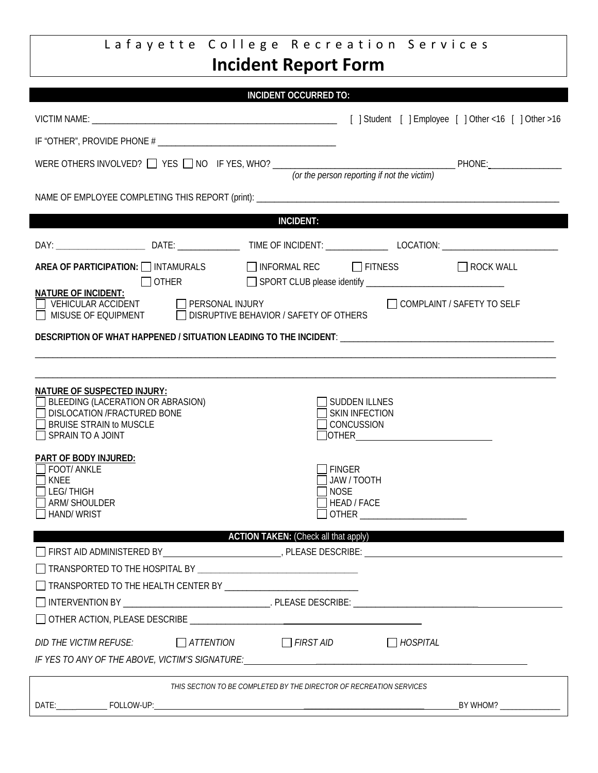## Lafayette College Recreation Services **Incident Report Form**

|                                                                                                                                                                             | <b>INCIDENT OCCURRED TO:</b>                 |                                                             |                       |                              |  |  |
|-----------------------------------------------------------------------------------------------------------------------------------------------------------------------------|----------------------------------------------|-------------------------------------------------------------|-----------------------|------------------------------|--|--|
|                                                                                                                                                                             |                                              |                                                             |                       |                              |  |  |
|                                                                                                                                                                             |                                              |                                                             |                       |                              |  |  |
| WERE OTHERS INVOLVED? $\Box$ YES $\Box$ NO IF YES, WHO? $\frac{1}{\pi}$ (or the person reporting if not the victim)                                                         |                                              |                                                             |                       |                              |  |  |
|                                                                                                                                                                             |                                              |                                                             |                       |                              |  |  |
| <b>INCIDENT:</b>                                                                                                                                                            |                                              |                                                             |                       |                              |  |  |
|                                                                                                                                                                             |                                              |                                                             |                       |                              |  |  |
| AREA OF PARTICIPATION: □ INTAMURALS □ INFORMAL REC □ FITNESS<br>OTHER                                                                                                       |                                              |                                                             |                       | $\Box$ ROCK WALL             |  |  |
| <b>NATURE OF INCIDENT:</b>                                                                                                                                                  |                                              |                                                             |                       | □ COMPLAINT / SAFETY TO SELF |  |  |
| DESCRIPTION OF WHAT HAPPENED / SITUATION LEADING TO THE INCIDENT: __________________________________                                                                        |                                              |                                                             |                       |                              |  |  |
|                                                                                                                                                                             |                                              |                                                             |                       |                              |  |  |
| <b>NATURE OF SUSPECTED INJURY:</b><br><b>BLEEDING (LACERATION OR ABRASION)</b><br>DISLOCATION /FRACTURED BONE<br><b>BRUISE STRAIN to MUSCLE</b><br>$\Box$ SPRAIN TO A JOINT |                                              | SUDDEN ILLNES<br><b>SKIN INFECTION</b><br><b>CONCUSSION</b> | $\sqrt{\text{OTHER}}$ |                              |  |  |
| PART OF BODY INJURED:<br><b>FOOT/ ANKLE</b><br>KNEE<br><b>LEG/THIGH</b><br><b>ARM/ SHOULDER</b><br><b>HAND/WRIST</b>                                                        | <b>FINGER</b><br><b>NOSE</b><br><b>OTHER</b> | JAW / TOOTH<br>HEAD / FACE                                  |                       |                              |  |  |
| <b>ACTION TAKEN:</b> (Check all that apply)                                                                                                                                 |                                              |                                                             |                       |                              |  |  |
|                                                                                                                                                                             |                                              |                                                             |                       |                              |  |  |
|                                                                                                                                                                             |                                              |                                                             |                       |                              |  |  |
|                                                                                                                                                                             |                                              |                                                             |                       |                              |  |  |
|                                                                                                                                                                             |                                              |                                                             |                       |                              |  |  |
| $\Box$ ATTENTION $\Box$ FIRST AID<br>DID THE VICTIM REFUSE:                                                                                                                 |                                              |                                                             | $\Box$ HOSPITAL       |                              |  |  |
| THIS SECTION TO BE COMPLETED BY THE DIRECTOR OF RECREATION SERVICES                                                                                                         |                                              |                                                             |                       |                              |  |  |
|                                                                                                                                                                             |                                              |                                                             |                       | BY WHOM? _______________     |  |  |